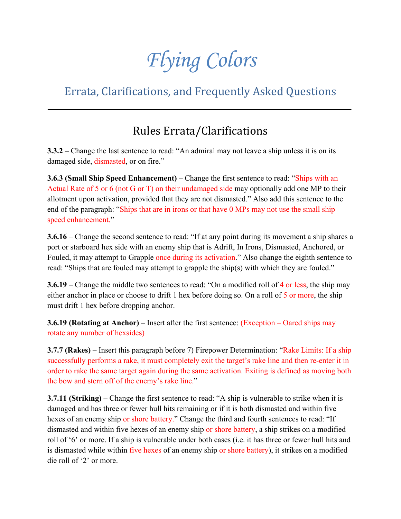# *Flying Colors*

# Errata, Clarifications, and Frequently Asked Questions

# Rules Errata/Clarifications

**3.3.2** – Change the last sentence to read: "An admiral may not leave a ship unless it is on its damaged side, dismasted, or on fire."

**3.6.3 (Small Ship Speed Enhancement)** – Change the first sentence to read: "Ships with an Actual Rate of 5 or 6 (not G or T) on their undamaged side may optionally add one MP to their allotment upon activation, provided that they are not dismasted." Also add this sentence to the end of the paragraph: "Ships that are in irons or that have 0 MPs may not use the small ship speed enhancement."

**3.6.16** – Change the second sentence to read: "If at any point during its movement a ship shares a port or starboard hex side with an enemy ship that is Adrift, In Irons, Dismasted, Anchored, or Fouled, it may attempt to Grapple once during its activation." Also change the eighth sentence to read: "Ships that are fouled may attempt to grapple the ship(s) with which they are fouled."

**3.6.19** – Change the middle two sentences to read: "On a modified roll of 4 or less, the ship may either anchor in place or choose to drift 1 hex before doing so. On a roll of 5 or more, the ship must drift 1 hex before dropping anchor.

**3.6.19 (Rotating at Anchor)** – Insert after the first sentence: (Exception – Oared ships may rotate any number of hexsides)

**3.7.7 (Rakes)** – Insert this paragraph before 7) Firepower Determination: "Rake Limits: If a ship successfully performs a rake, it must completely exit the target's rake line and then re-enter it in order to rake the same target again during the same activation. Exiting is defined as moving both the bow and stern off of the enemy's rake line."

**3.7.11 (Striking) –** Change the first sentence to read: "A ship is vulnerable to strike when it is damaged and has three or fewer hull hits remaining or if it is both dismasted and within five hexes of an enemy ship or shore battery." Change the third and fourth sentences to read: "If dismasted and within five hexes of an enemy ship or shore battery, a ship strikes on a modified roll of '6' or more. If a ship is vulnerable under both cases (i.e. it has three or fewer hull hits and is dismasted while within five hexes of an enemy ship or shore battery), it strikes on a modified die roll of '2' or more.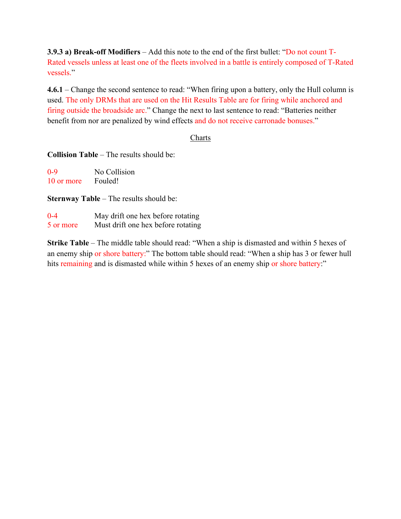**3.9.3 a) Break-off Modifiers** – Add this note to the end of the first bullet: "Do not count T-Rated vessels unless at least one of the fleets involved in a battle is entirely composed of T-Rated vessels."

**4.6.1** – Change the second sentence to read: "When firing upon a battery, only the Hull column is used. The only DRMs that are used on the Hit Results Table are for firing while anchored and firing outside the broadside arc." Change the next to last sentence to read: "Batteries neither benefit from nor are penalized by wind effects and do not receive carronade bonuses."

#### **Charts**

**Collision Table** – The results should be:

| $0 - 9$    | No Collision |
|------------|--------------|
| 10 or more | Fouled!      |

**Sternway Table** – The results should be:

| $0 - 4$   | May drift one hex before rotating  |
|-----------|------------------------------------|
| 5 or more | Must drift one hex before rotating |

**Strike Table** – The middle table should read: "When a ship is dismasted and within 5 hexes of an enemy ship or shore battery:" The bottom table should read: "When a ship has 3 or fewer hull hits remaining and is dismasted while within 5 hexes of an enemy ship or shore battery:"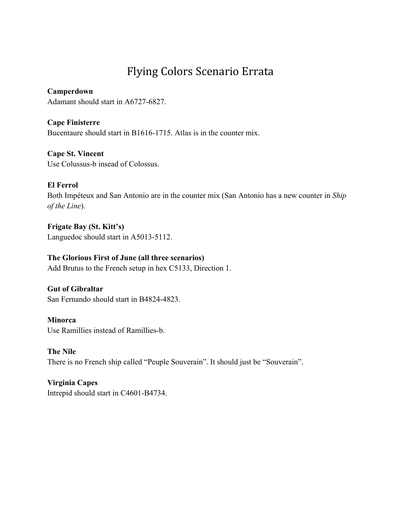# Flying Colors Scenario Errata

# **Camperdown**

Adamant should start in A6727-6827.

# **Cape Finisterre**

Bucentaure should start in B1616-1715. Atlas is in the counter mix.

# **Cape St. Vincent**

Use Colussus-b insead of Colossus.

# **El Ferrol**

Both Impéteux and San Antonio are in the counter mix (San Antonio has a new counter in *Ship of the Line*).

**Frigate Bay (St. Kitt's)** Languedoc should start in A5013-5112.

# **The Glorious First of June (all three scenarios)**

Add Brutus to the French setup in hex C5133, Direction 1.

# **Gut of Gibraltar** San Fernando should start in B4824-4823.

#### **Minorca** Use Ramillies instead of Ramillies-b.

**The Nile** There is no French ship called "Peuple Souverain". It should just be "Souverain".

# **Virginia Capes** Intrepid should start in C4601-B4734.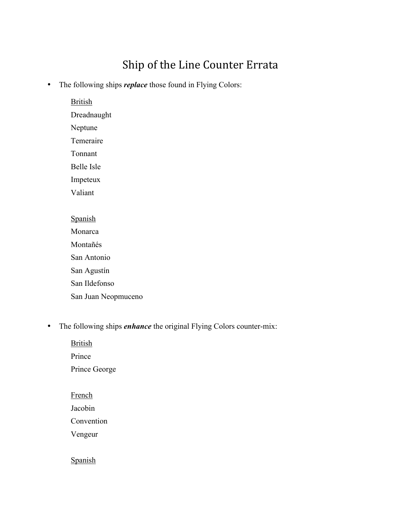# Ship of the Line Counter Errata

• The following ships *replace* those found in Flying Colors:

**British** Dreadnaught Neptune Temeraire Tonnant Belle Isle Impeteux Valiant **Spanish** Monarca Montañés San Antonio San Agustín San Ildefonso San Juan Neopmuceno

• The following ships *enhance* the original Flying Colors counter-mix:

**British** 

Prince

Prince George

#### French

Jacobin

Convention

Vengeur

# Spanish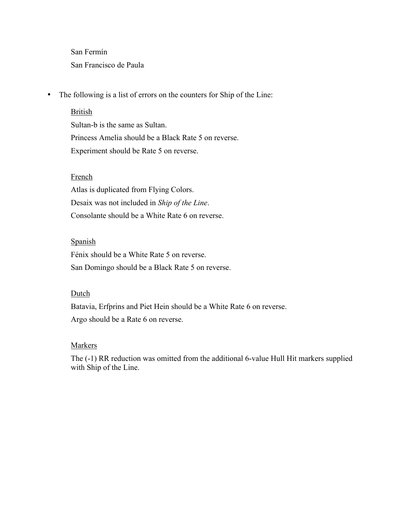San Fermín San Francisco de Paula

• The following is a list of errors on the counters for Ship of the Line:

#### British

Sultan-b is the same as Sultan. Princess Amelia should be a Black Rate 5 on reverse. Experiment should be Rate 5 on reverse.

#### French

Atlas is duplicated from Flying Colors. Desaix was not included in *Ship of the Line*. Consolante should be a White Rate 6 on reverse.

#### Spanish

Fénix should be a White Rate 5 on reverse. San Domingo should be a Black Rate 5 on reverse.

#### Dutch

Batavia, Erfprins and Piet Hein should be a White Rate 6 on reverse. Argo should be a Rate 6 on reverse.

#### Markers

The (-1) RR reduction was omitted from the additional 6-value Hull Hit markers supplied with Ship of the Line.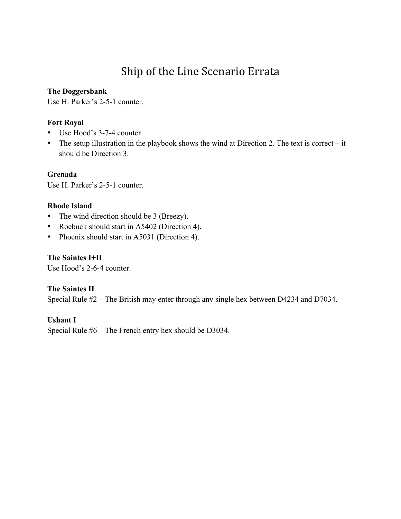# Ship of the Line Scenario Errata

#### **The Doggersbank**

Use H. Parker's 2-5-1 counter.

### **Fort Royal**

- Use Hood's 3-7-4 counter.
- The setup illustration in the playbook shows the wind at Direction 2. The text is correct it should be Direction 3.

**Grenada**

Use H. Parker's 2-5-1 counter.

### **Rhode Island**

- The wind direction should be 3 (Breezy).
- Roebuck should start in A5402 (Direction 4).
- Phoenix should start in A5031 (Direction 4).

**The Saintes I+II** Use Hood's 2-6-4 counter.

# **The Saintes II**

Special Rule #2 – The British may enter through any single hex between D4234 and D7034.

### **Ushant I**

Special Rule #6 – The French entry hex should be D3034.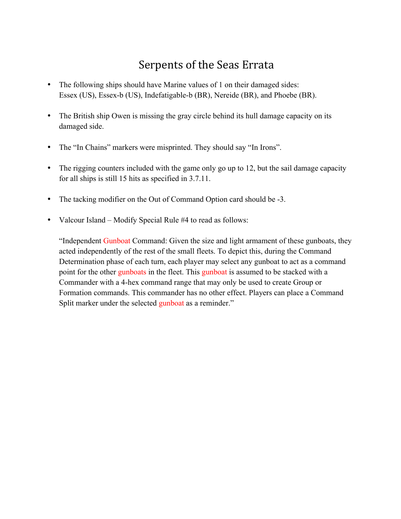# Serpents of the Seas Errata

- The following ships should have Marine values of 1 on their damaged sides: Essex (US), Essex-b (US), Indefatigable-b (BR), Nereide (BR), and Phoebe (BR).
- The British ship Owen is missing the gray circle behind its hull damage capacity on its damaged side.
- The "In Chains" markers were misprinted. They should say "In Irons".
- The rigging counters included with the game only go up to 12, but the sail damage capacity for all ships is still 15 hits as specified in 3.7.11.
- The tacking modifier on the Out of Command Option card should be -3.
- Valcour Island Modify Special Rule #4 to read as follows:

"Independent Gunboat Command: Given the size and light armament of these gunboats, they acted independently of the rest of the small fleets. To depict this, during the Command Determination phase of each turn, each player may select any gunboat to act as a command point for the other gunboats in the fleet. This gunboat is assumed to be stacked with a Commander with a 4-hex command range that may only be used to create Group or Formation commands. This commander has no other effect. Players can place a Command Split marker under the selected gunboat as a reminder."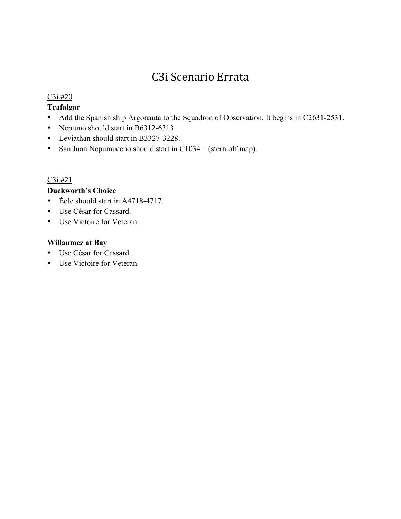# C3i Scenario Errata

#### $C3i \#20$

# **Trafalgar**

- Add the Spanish ship Argonauta to the Squadron of Observation. It begins in C2631-2531.
- Neptuno should start in B6312-6313.
- Leviathan should start in B3327-3228.
- San Juan Nepumuceno should start in C1034 (stern off map).

### $C3i \#21$

# **Duckworth's Choice**

- Éole should start in A4718-4717.
- Use César for Cassard.
- Use Victoire for Veteran.

# **Willaumez at Bay**

- Use César for Cassard.
- Use Victoire for Veteran.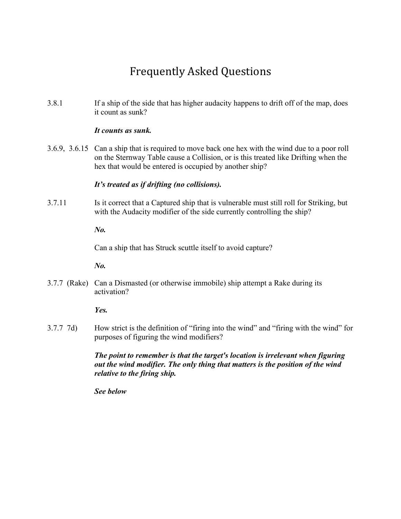# Frequently Asked Questions

3.8.1 If a ship of the side that has higher audacity happens to drift off of the map, does it count as sunk?

#### *It counts as sunk.*

3.6.9, 3.6.15 Can a ship that is required to move back one hex with the wind due to a poor roll on the Sternway Table cause a Collision, or is this treated like Drifting when the hex that would be entered is occupied by another ship?

#### *It's treated as if drifting (no collisions).*

3.7.11 Is it correct that a Captured ship that is vulnerable must still roll for Striking, but with the Audacity modifier of the side currently controlling the ship?

*No.*

Can a ship that has Struck scuttle itself to avoid capture?

*No.*

3.7.7 (Rake) Can a Dismasted (or otherwise immobile) ship attempt a Rake during its activation?

*Yes.*

3.7.7 7d) How strict is the definition of "firing into the wind" and "firing with the wind" for purposes of figuring the wind modifiers?

> *The point to remember is that the target's location is irrelevant when figuring out the wind modifier. The only thing that matters is the position of the wind relative to the firing ship.*

*See below*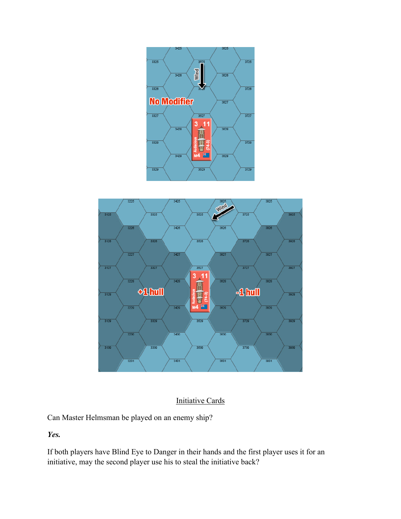



# Initiative Cards

Can Master Helmsman be played on an enemy ship?

*Yes.*

If both players have Blind Eye to Danger in their hands and the first player uses it for an initiative, may the second player use his to steal the initiative back?